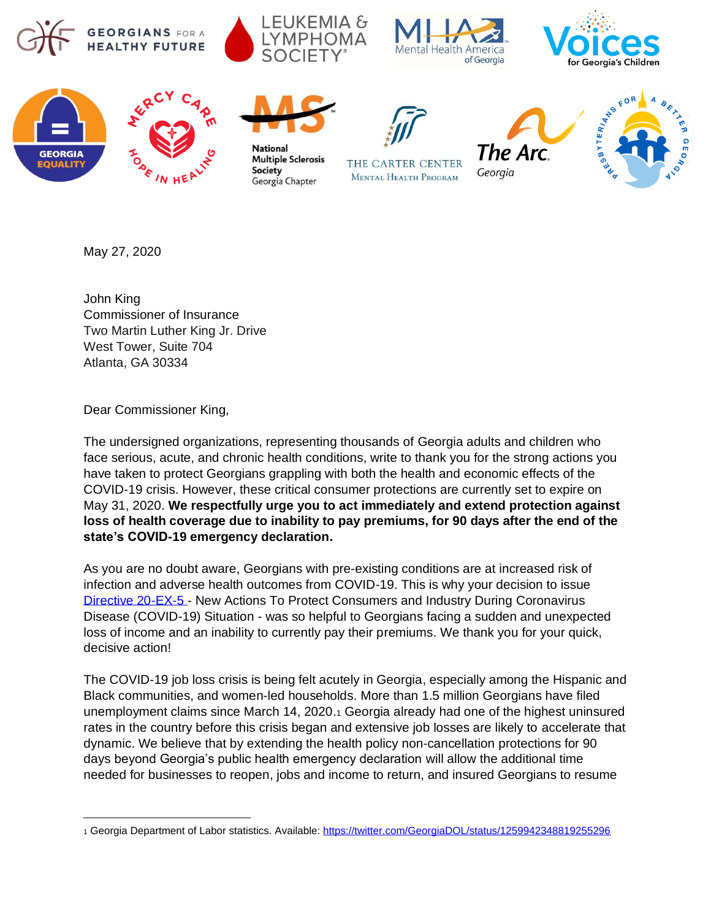





















May 27, 2020

John King Commissioner of Insurance Two Martin Luther King Jr. Drive West Tower, Suite 704 Atlanta, GA 30334

Dear Commissioner King,

The undersigned organizations, representing thousands of Georgia adults and children who face serious, acute, and chronic health conditions, write to thank you for the strong actions you have taken to protect Georgians grappling with both the health and economic effects of the COVID-19 crisis. However, these critical consumer protections are currently set to expire on May 31, 2020. **We respectfully urge you to act immediately and extend protection against loss of health coverage due to inability to pay premiums, for 90 days after the end of the state's COVID-19 emergency declaration.**

As you are no doubt aware, Georgians with pre-existing conditions are at increased risk of infection and adverse health outcomes from COVID-19. This is why your decision to issue [Directive 20-EX-5](https://www.oci.ga.gov/ExternalResources/Announcements/Directive-3202020-1057.pdf) - New Actions To Protect Consumers and Industry During Coronavirus Disease (COVID-19) Situation - was so helpful to Georgians facing a sudden and unexpected loss of income and an inability to currently pay their premiums. We thank you for your quick, decisive action!

The COVID-19 job loss crisis is being felt acutely in Georgia, especially among the Hispanic and Black communities, and women-led households. More than 1.5 million Georgians have filed unemployment claims since March 14, 2020.<sup>1</sup> Georgia already had one of the highest uninsured rates in the country before this crisis began and extensive job losses are likely to accelerate that dynamic. We believe that by extending the health policy non-cancellation protections for 90 days beyond Georgia's public health emergency declaration will allow the additional time needed for businesses to reopen, jobs and income to return, and insured Georgians to resume

<sup>1</sup> Georgia Department of Labor statistics. Available:<https://twitter.com/GeorgiaDOL/status/1259942348819255296>